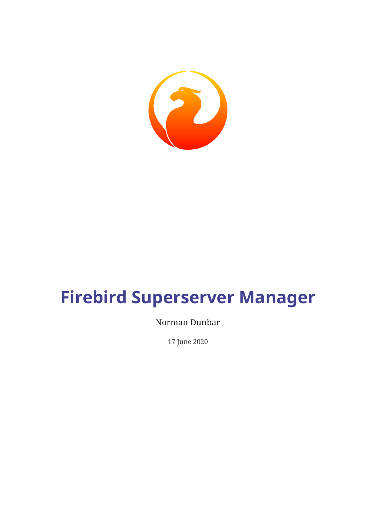

# **Firebird Superserver Manager**

### Norman Dunbar

17 June 2020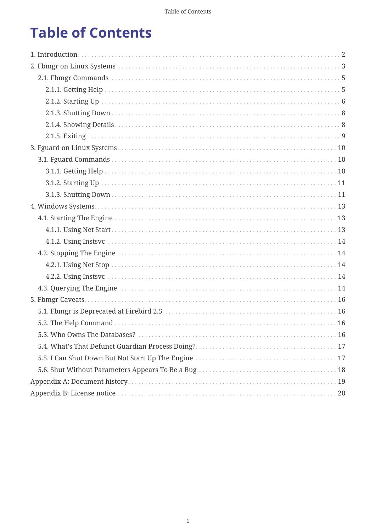# **Table of Contents**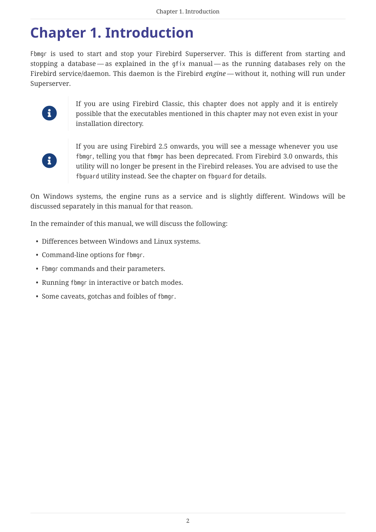# <span id="page-2-0"></span>**Chapter 1. Introduction**

Fbmgr is used to start and stop your Firebird Superserver. This is different from starting and stopping a database — as explained in the gfix manual — as the running databases rely on the Firebird service/daemon. This daemon is the Firebird *engine* — without it, nothing will run under Superserver.



If you are using Firebird Classic, this chapter does not apply and it is entirely possible that the executables mentioned in this chapter may not even exist in your installation directory.



If you are using Firebird 2.5 onwards, you will see a message whenever you use fbmgr, telling you that fbmgr has been deprecated. From Firebird 3.0 onwards, this utility will no longer be present in the Firebird releases. You are advised to use the fbguard utility instead. See the chapter on fbguard for details.

On Windows systems, the engine runs as a service and is slightly different. Windows will be discussed separately in this manual for that reason.

In the remainder of this manual, we will discuss the following:

- Differences between Windows and Linux systems.
- Command-line options for fbmgr.
- Fbmgr commands and their parameters.
- Running fbmgr in interactive or batch modes.
- Some caveats, gotchas and foibles of fbmgr.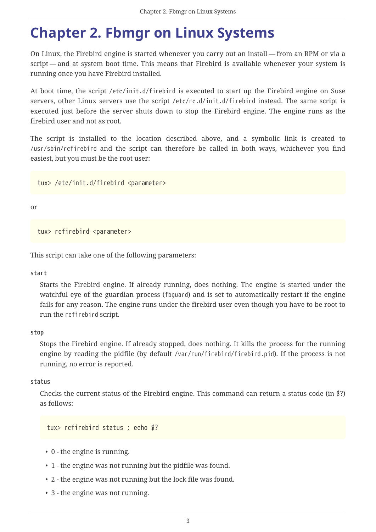# <span id="page-3-0"></span>**Chapter 2. Fbmgr on Linux Systems**

On Linux, the Firebird engine is started whenever you carry out an install — from an RPM or via a script — and at system boot time. This means that Firebird is available whenever your system is running once you have Firebird installed.

At boot time, the script /etc/init.d/firebird is executed to start up the Firebird engine on Suse servers, other Linux servers use the script /etc/rc.d/init.d/firebird instead. The same script is executed just before the server shuts down to stop the Firebird engine. The engine runs as the firebird user and not as root.

The script is installed to the location described above, and a symbolic link is created to /usr/sbin/rcfirebird and the script can therefore be called in both ways, whichever you find easiest, but you must be the root user:

tux> /etc/init.d/firebird <parameter>

or

tux> rcfirebird <parameter>

This script can take one of the following parameters:

**start**

Starts the Firebird engine. If already running, does nothing. The engine is started under the watchful eye of the guardian process (fbguard) and is set to automatically restart if the engine fails for any reason. The engine runs under the firebird user even though you have to be root to run the rcfirebird script.

#### **stop**

Stops the Firebird engine. If already stopped, does nothing. It kills the process for the running engine by reading the pidfile (by default /var/run/firebird/firebird.pid). If the process is not running, no error is reported.

#### **status**

Checks the current status of the Firebird engine. This command can return a status code (in \$?) as follows:

tux> rcfirebird status ; echo \$?

- 0 the engine is running.
- 1 the engine was not running but the pidfile was found.
- 2 the engine was not running but the lock file was found.
- 3 the engine was not running.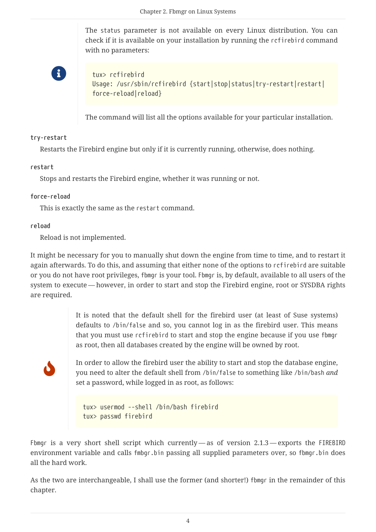The status parameter is not available on every Linux distribution. You can check if it is available on your installation by running the rcfirebird command with no parameters:

H

tux> rcfirebird Usage: /usr/sbin/rcfirebird {start|stop|status|try-restart|restart| force-reload|reload}

The command will list all the options available for your particular installation.

#### **try-restart**

Restarts the Firebird engine but only if it is currently running, otherwise, does nothing.

#### **restart**

Stops and restarts the Firebird engine, whether it was running or not.

#### **force-reload**

This is exactly the same as the restart command.

#### **reload**

Reload is not implemented.

It might be necessary for you to manually shut down the engine from time to time, and to restart it again afterwards. To do this, and assuming that either none of the options to rcfirebird are suitable or you do not have root privileges, fbmgr is your tool. Fbmgr is, by default, available to all users of the system to execute — however, in order to start and stop the Firebird engine, root or SYSDBA rights are required.

> It is noted that the default shell for the firebird user (at least of Suse systems) defaults to /bin/false and so, you cannot log in as the firebird user. This means that you must use rcfirebird to start and stop the engine because if you use fbmgr as root, then all databases created by the engine will be owned by root.

J

In order to allow the firebird user the ability to start and stop the database engine, you need to alter the default shell from /bin/false to something like /bin/bash *and* set a password, while logged in as root, as follows:

tux> usermod --shell /bin/bash firebird tux> passwd firebird

Fbmgr is a very short shell script which currently — as of version 2.1.3 — exports the FIREBIRD environment variable and calls fmbgr.bin passing all supplied parameters over, so fbmgr.bin does all the hard work.

As the two are interchangeable, I shall use the former (and shorter!) fbmgr in the remainder of this chapter.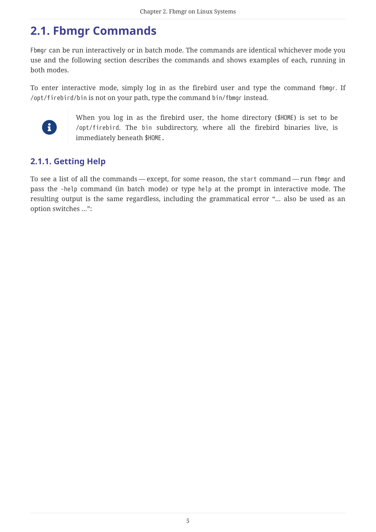## <span id="page-5-0"></span>**2.1. Fbmgr Commands**

Fbmgr can be run interactively or in batch mode. The commands are identical whichever mode you use and the following section describes the commands and shows examples of each, running in both modes.

To enter interactive mode, simply log in as the firebird user and type the command fbmgr. If /opt/firebird/bin is not on your path, type the command bin/fbmgr instead.



When you log in as the firebird user, the home directory (\$HOME) is set to be /opt/firebird. The bin subdirectory, where all the firebird binaries live, is immediately beneath \$HOME.

### <span id="page-5-1"></span>**2.1.1. Getting Help**

To see a list of all the commands — except, for some reason, the start command — run fbmgr and pass the -help command (in batch mode) or type help at the prompt in interactive mode. The resulting output is the same regardless, including the grammatical error "… also be used as an option switches …":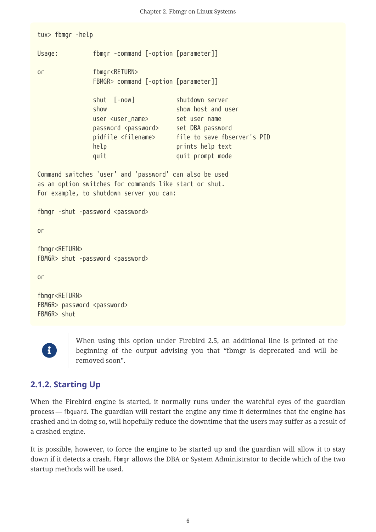tux> fbmgr -help Usage: fbmgr -command [-option [parameter]] or fbmgr<RETURN> FBMGR> command [-option [parameter]] shut [-now] shutdown server show show host and user user <user\_name> set user name password <password> set DBA password pidfile <filename> file to save fbserver's PID help **prints** help text quit quit prompt mode Command switches 'user' and 'password' can also be used as an option switches for commands like start or shut. For example, to shutdown server you can: fbmgr -shut -password <password> or fbmgr<RETURN> FBMGR> shut -password <password> or fbmgr<RETURN> FBMGR> password <password>



FBMGR> shut

When using this option under Firebird 2.5, an additional line is printed at the beginning of the output advising you that "fbmgr is deprecated and will be removed soon".

### <span id="page-6-0"></span>**2.1.2. Starting Up**

When the Firebird engine is started, it normally runs under the watchful eyes of the guardian process — fbguard. The guardian will restart the engine any time it determines that the engine has crashed and in doing so, will hopefully reduce the downtime that the users may suffer as a result of a crashed engine.

It is possible, however, to force the engine to be started up and the guardian will allow it to stay down if it detects a crash. Fbmgr allows the DBA or System Administrator to decide which of the two startup methods will be used.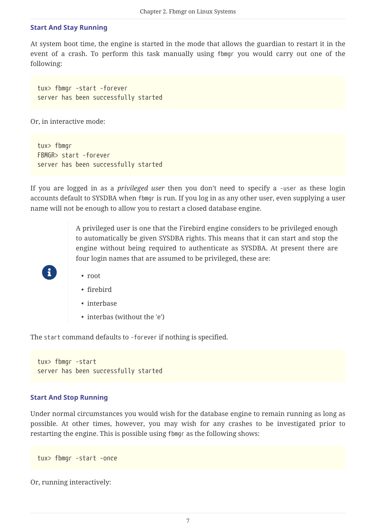#### **Start And Stay Running**

At system boot time, the engine is started in the mode that allows the guardian to restart it in the event of a crash. To perform this task manually using fbmgr you would carry out one of the following:

tux> fbmgr -start -forever server has been successfully started

Or, in interactive mode:

tux> fbmgr FBMGR> start -forever server has been successfully started

If you are logged in as a *privileged user* then you don't need to specify a -user as these login accounts default to SYSDBA when fbmgr is run. If you log in as any other user, even supplying a user name will not be enough to allow you to restart a closed database engine.

> A privileged user is one that the Firebird engine considers to be privileged enough to automatically be given SYSDBA rights. This means that it can start and stop the engine without being required to authenticate as SYSDBA. At present there are four login names that are assumed to be privileged, these are:

• root

8

- firebird
- interbase
- interbas (without the 'e')

The start command defaults to -forever if nothing is specified.

```
tux> fbmgr -start
server has been successfully started
```
#### **Start And Stop Running**

Under normal circumstances you would wish for the database engine to remain running as long as possible. At other times, however, you may wish for any crashes to be investigated prior to restarting the engine. This is possible using fbmgr as the following shows:

tux> fbmgr -start -once

Or, running interactively: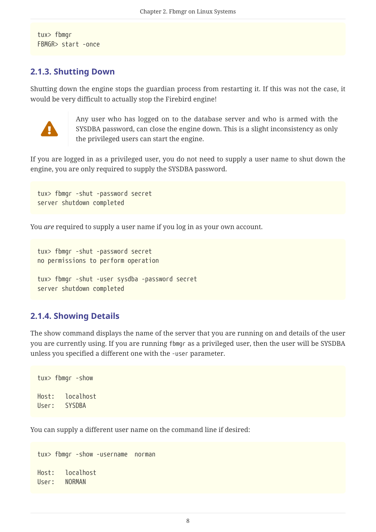tux> fbmgr FBMGR> start -once

#### <span id="page-8-0"></span>**2.1.3. Shutting Down**

Shutting down the engine stops the guardian process from restarting it. If this was not the case, it would be very difficult to actually stop the Firebird engine!



Any user who has logged on to the database server and who is armed with the SYSDBA password, can close the engine down. This is a slight inconsistency as only the privileged users can start the engine.

If you are logged in as a privileged user, you do not need to supply a user name to shut down the engine, you are only required to supply the SYSDBA password.

```
tux> fbmgr -shut -password secret
server shutdown completed
```
You *are* required to supply a user name if you log in as your own account.

tux> fbmgr -shut -password secret no permissions to perform operation tux> fbmgr -shut -user sysdba -password secret server shutdown completed

#### <span id="page-8-1"></span>**2.1.4. Showing Details**

The show command displays the name of the server that you are running on and details of the user you are currently using. If you are running fbmgr as a privileged user, then the user will be SYSDBA unless you specified a different one with the -user parameter.

tux> fbmgr -show Host: localhost User: SYSDBA

You can supply a different user name on the command line if desired:

```
tux> fbmgr -show -username norman
Host: localhost
User: NORMAN
```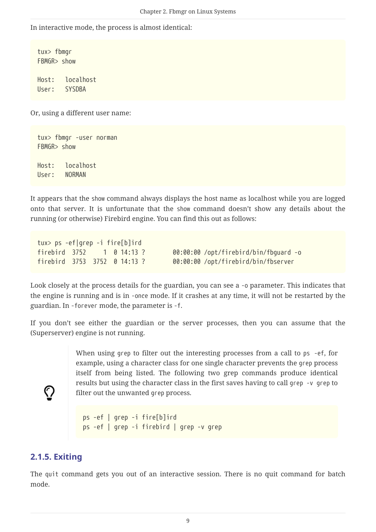In interactive mode, the process is almost identical:

tux> fbmgr FBMGR> show

Host: localhost User: SYSDBA

Or, using a different user name:

tux> fbmgr -user norman FBMGR> show Host: localhost User: NORMAN

It appears that the show command always displays the host name as localhost while you are logged onto that server. It is unfortunate that the show command doesn't show any details about the running (or otherwise) Firebird engine. You can find this out as follows:

tux> ps -ef|grep -i fire[b]ird

firebird 3752 1 0 14:13 ? 00:00:00 /opt/firebird/bin/fbguard -o firebird 3753 3752 0 14:13 ? 00:00:00 /opt/firebird/bin/fbserver

Look closely at the process details for the guardian, you can see a -o parameter. This indicates that the engine is running and is in -once mode. If it crashes at any time, it will not be restarted by the guardian. In -forever mode, the parameter is -f.

If you don't see either the guardian or the server processes, then you can assume that the (Superserver) engine is not running.

> When using grep to filter out the interesting processes from a call to ps -ef, for example, using a character class for one single character prevents the grep process itself from being listed. The following two grep commands produce identical results but using the character class in the first saves having to call grep -v grep to filter out the unwanted grep process.

```
ps -ef | grep -i fire[b]ird
ps -ef | grep -i firebird | grep -v grep
```
#### <span id="page-9-0"></span>**2.1.5. Exiting**

 $\bigcirc$ 

The quit command gets you out of an interactive session. There is no quit command for batch mode.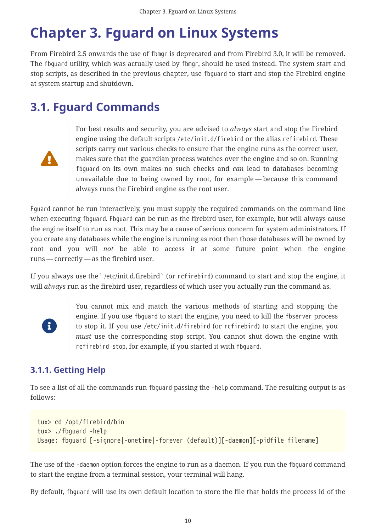# <span id="page-10-0"></span>**Chapter 3. Fguard on Linux Systems**

From Firebird 2.5 onwards the use of fbmgr is deprecated and from Firebird 3.0, it will be removed. The fbguard utility, which was actually used by fbmgr, should be used instead. The system start and stop scripts, as described in the previous chapter, use fbguard to start and stop the Firebird engine at system startup and shutdown.

## <span id="page-10-1"></span>**3.1. Fguard Commands**



For best results and security, you are advised to *always* start and stop the Firebird engine using the default scripts /etc/init.d/firebird or the alias rcfirebird. These scripts carry out various checks to ensure that the engine runs as the correct user, makes sure that the guardian process watches over the engine and so on. Running fbguard on its own makes no such checks and *can* lead to databases becoming unavailable due to being owned by root, for example — because this command always runs the Firebird engine as the root user.

Fguard cannot be run interactively, you must supply the required commands on the command line when executing fbguard. Fbguard can be run as the firebird user, for example, but will always cause the engine itself to run as root. This may be a cause of serious concern for system administrators. If you create any databases while the engine is running as root then those databases will be owned by root and you will *not* be able to access it at some future point when the engine runs — correctly — as the firebird user.

If you always use the` /etc/init.d.firebird` (or rcfirebird) command to start and stop the engine, it will *always* run as the firebird user, regardless of which user you actually run the command as.



You cannot mix and match the various methods of starting and stopping the engine. If you use fbguard to start the engine, you need to kill the fbserver process to stop it. If you use /etc/init.d/firebird (or rcfirebird) to start the engine, you *must* use the corresponding stop script. You cannot shut down the engine with rcfirebird stop, for example, if you started it with fbguard.

### <span id="page-10-2"></span>**3.1.1. Getting Help**

To see a list of all the commands run fbguard passing the -help command. The resulting output is as follows:

```
tux> cd /opt/firebird/bin
tux> ./fbguard -help
Usage: fbguard [-signore|-onetime|-forever (default)][-daemon][-pidfile filename]
```
The use of the -daemon option forces the engine to run as a daemon. If you run the fbguard command to start the engine from a terminal session, your terminal will hang.

By default, fbguard will use its own default location to store the file that holds the process id of the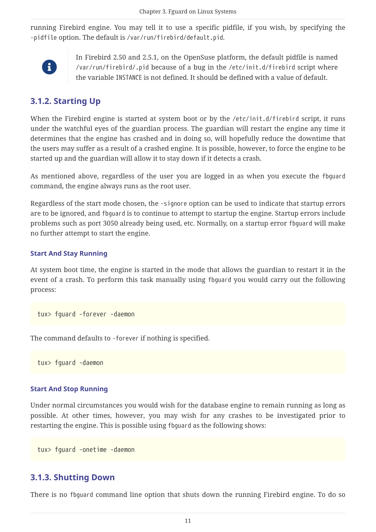running Firebird engine. You may tell it to use a specific pidfile, if you wish, by specifying the -pidfile option. The default is /var/run/firebird/default.pid.



In Firebird 2.50 and 2.5.1, on the OpenSuse platform, the default pidfile is named /var/run/firebird/.pid because of a bug in the /etc/init.d/firebird script where the variable INSTANCE is not defined. It should be defined with a value of default.

### <span id="page-11-0"></span>**3.1.2. Starting Up**

When the Firebird engine is started at system boot or by the /etc/init.d/firebird script, it runs under the watchful eyes of the guardian process. The guardian will restart the engine any time it determines that the engine has crashed and in doing so, will hopefully reduce the downtime that the users may suffer as a result of a crashed engine. It is possible, however, to force the engine to be started up and the guardian will allow it to stay down if it detects a crash.

As mentioned above, regardless of the user you are logged in as when you execute the fbguard command, the engine always runs as the root user.

Regardless of the start mode chosen, the -signore option can be used to indicate that startup errors are to be ignored, and fbguard is to continue to attempt to startup the engine. Startup errors include problems such as port 3050 already being used, etc. Normally, on a startup error fbguard will make no further attempt to start the engine.

#### **Start And Stay Running**

At system boot time, the engine is started in the mode that allows the guardian to restart it in the event of a crash. To perform this task manually using fbguard you would carry out the following process:

tux> fguard -forever -daemon

The command defaults to -forever if nothing is specified.

tux> fguard -daemon

#### **Start And Stop Running**

Under normal circumstances you would wish for the database engine to remain running as long as possible. At other times, however, you may wish for any crashes to be investigated prior to restarting the engine. This is possible using fbguard as the following shows:

tux> fguard -onetime -daemon

### <span id="page-11-1"></span>**3.1.3. Shutting Down**

There is no fbguard command line option that shuts down the running Firebird engine. To do so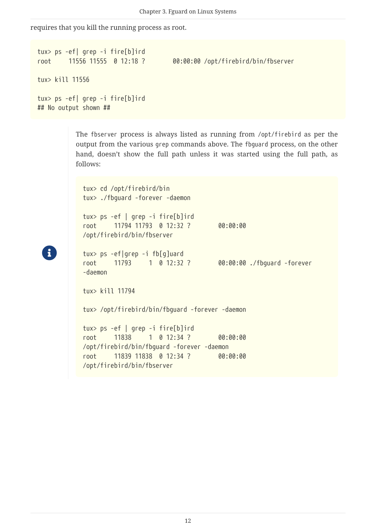requires that you kill the running process as root.

```
tux> ps -ef| grep -i fire[b]ird
root 11556 11555 0 12:18 ? 00:00:00 /opt/firebird/bin/fbserver
tux> kill 11556
tux> ps -ef| grep -i fire[b]ird
## No output shown ##
```
The fbserver process is always listed as running from /opt/firebird as per the output from the various grep commands above. The fbguard process, on the other hand, doesn't show the full path unless it was started using the full path, as follows:

```
tux> cd /opt/firebird/bin
tux> ./fbguard -forever -daemon
tux> ps -ef | grep -i fire[b]ird
root 11794 11793 0 12:32 ? 00:00:00
/opt/firebird/bin/fbserver
tux> ps -ef|grep -i fb[g]uard
root 11793 1 0 12:32 ? 00:00:00 ./fbguard -forever
-daemon
tux> kill 11794
tux> /opt/firebird/bin/fbguard -forever -daemon
tux> ps -ef | grep -i fire[b]ird
root 11838 1 0 12:34 ? 00:00:00
/opt/firebird/bin/fbguard -forever -daemon
root 11839 11838 0 12:34 ? 00:00:00
/opt/firebird/bin/fbserver
```
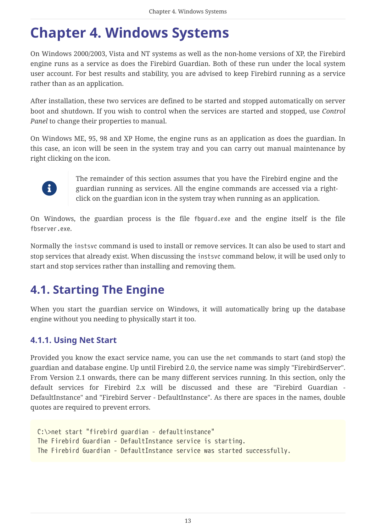# <span id="page-13-0"></span>**Chapter 4. Windows Systems**

On Windows 2000/2003, Vista and NT systems as well as the non-home versions of XP, the Firebird engine runs as a service as does the Firebird Guardian. Both of these run under the local system user account. For best results and stability, you are advised to keep Firebird running as a service rather than as an application.

After installation, these two services are defined to be started and stopped automatically on server boot and shutdown. If you wish to control when the services are started and stopped, use *Control Panel* to change their properties to manual.

On Windows ME, 95, 98 and XP Home, the engine runs as an application as does the guardian. In this case, an icon will be seen in the system tray and you can carry out manual maintenance by right clicking on the icon.



The remainder of this section assumes that you have the Firebird engine and the guardian running as services. All the engine commands are accessed via a rightclick on the guardian icon in the system tray when running as an application.

On Windows, the guardian process is the file fbguard.exe and the engine itself is the file fbserver.exe.

Normally the instsvc command is used to install or remove services. It can also be used to start and stop services that already exist. When discussing the instsvc command below, it will be used only to start and stop services rather than installing and removing them.

# <span id="page-13-1"></span>**4.1. Starting The Engine**

When you start the guardian service on Windows, it will automatically bring up the database engine without you needing to physically start it too.

### <span id="page-13-2"></span>**4.1.1. Using Net Start**

Provided you know the exact service name, you can use the net commands to start (and stop) the guardian and database engine. Up until Firebird 2.0, the service name was simply "FirebirdServer". From Version 2.1 onwards, there can be many different services running. In this section, only the default services for Firebird 2.x will be discussed and these are "Firebird Guardian - DefaultInstance" and "Firebird Server - DefaultInstance". As there are spaces in the names, double quotes are required to prevent errors.

```
C:\>net start "firebird guardian - defaultinstance"
The Firebird Guardian - DefaultInstance service is starting.
The Firebird Guardian - DefaultInstance service was started successfully.
```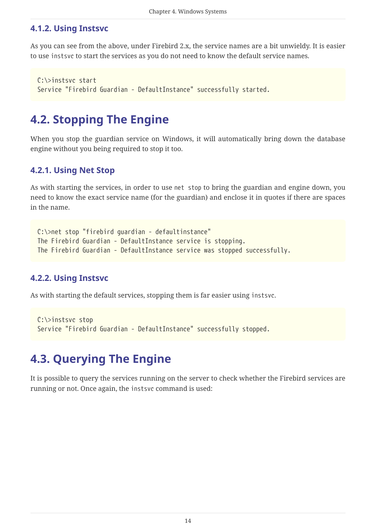### <span id="page-14-0"></span>**4.1.2. Using Instsvc**

As you can see from the above, under Firebird 2.x, the service names are a bit unwieldy. It is easier to use instsvc to start the services as you do not need to know the default service names.

```
C:\>instsvc start
Service "Firebird Guardian - DefaultInstance" successfully started.
```
## <span id="page-14-1"></span>**4.2. Stopping The Engine**

When you stop the guardian service on Windows, it will automatically bring down the database engine without you being required to stop it too.

### <span id="page-14-2"></span>**4.2.1. Using Net Stop**

As with starting the services, in order to use net stop to bring the guardian and engine down, you need to know the exact service name (for the guardian) and enclose it in quotes if there are spaces in the name.

```
C:\>net stop "firebird guardian - defaultinstance"
The Firebird Guardian - DefaultInstance service is stopping.
The Firebird Guardian - DefaultInstance service was stopped successfully.
```
### <span id="page-14-3"></span>**4.2.2. Using Instsvc**

As with starting the default services, stopping them is far easier using instsvc.

```
C:\>instsvc stop
Service "Firebird Guardian - DefaultInstance" successfully stopped.
```
## <span id="page-14-4"></span>**4.3. Querying The Engine**

It is possible to query the services running on the server to check whether the Firebird services are running or not. Once again, the instsvc command is used: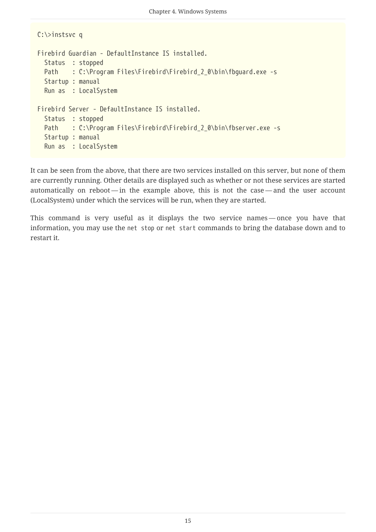```
C:\>instsvc q
Firebird Guardian - DefaultInstance IS installed.
   Status : stopped
 Path : C:\Program Files\Firebird\Firebird_2_0\bin\fbguard.exe -s
   Startup : manual
   Run as : LocalSystem
Firebird Server - DefaultInstance IS installed.
   Status : stopped
 Path : C:\Program Files\Firebird\Firebird_2_0\bin\fbserver.exe -s
   Startup : manual
   Run as : LocalSystem
```
It can be seen from the above, that there are two services installed on this server, but none of them are currently running. Other details are displayed such as whether or not these services are started automatically on reboot — in the example above, this is not the case — and the user account (LocalSystem) under which the services will be run, when they are started.

This command is very useful as it displays the two service names — once you have that information, you may use the net stop or net start commands to bring the database down and to restart it.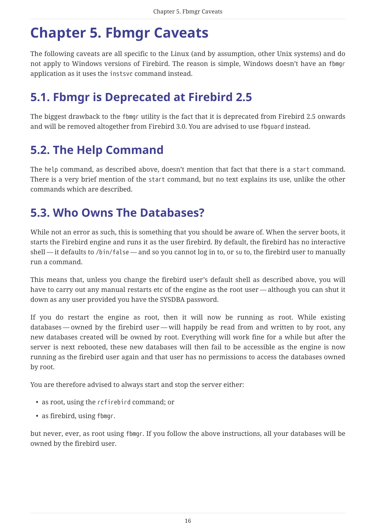# <span id="page-16-0"></span>**Chapter 5. Fbmgr Caveats**

The following caveats are all specific to the Linux (and by assumption, other Unix systems) and do not apply to Windows versions of Firebird. The reason is simple, Windows doesn't have an fbmgr application as it uses the instsvc command instead.

## <span id="page-16-1"></span>**5.1. Fbmgr is Deprecated at Firebird 2.5**

The biggest drawback to the fbmgr utility is the fact that it is deprecated from Firebird 2.5 onwards and will be removed altogether from Firebird 3.0. You are advised to use fbguard instead.

## <span id="page-16-2"></span>**5.2. The Help Command**

The help command, as described above, doesn't mention that fact that there is a start command. There is a very brief mention of the start command, but no text explains its use, unlike the other commands which are described.

## <span id="page-16-3"></span>**5.3. Who Owns The Databases?**

While not an error as such, this is something that you should be aware of. When the server boots, it starts the Firebird engine and runs it as the user firebird. By default, the firebird has no interactive shell — it defaults to /bin/false — and so you cannot log in to, or su to, the firebird user to manually run a command.

This means that, unless you change the firebird user's default shell as described above, you will have to carry out any manual restarts etc of the engine as the root user — although you can shut it down as any user provided you have the SYSDBA password.

If you do restart the engine as root, then it will now be running as root. While existing databases — owned by the firebird user — will happily be read from and written to by root, any new databases created will be owned by root. Everything will work fine for a while but after the server is next rebooted, these new databases will then fail to be accessible as the engine is now running as the firebird user again and that user has no permissions to access the databases owned by root.

You are therefore advised to always start and stop the server either:

- as root, using the rcfirebird command; or
- as firebird, using fbmgr.

but never, ever, as root using fbmgr. If you follow the above instructions, all your databases will be owned by the firebird user.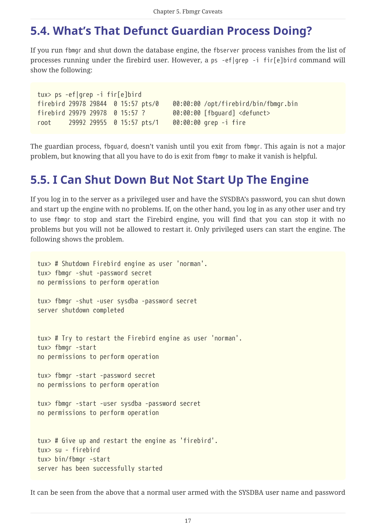## <span id="page-17-0"></span>**5.4. What's That Defunct Guardian Process Doing?**

If you run fbmgr and shut down the database engine, the fbserver process vanishes from the list of processes running under the firebird user. However, a ps -ef|grep -i fir[e]bird command will show the following:

```
tux> ps -ef|grep -i fir[e]bird
firebird 29978 29844 0 15:57 pts/0 00:00:00 /opt/firebird/bin/fbmgr.bin
firebird 29979 29978 0 15:57 ? 00:00:00 [fbguard] <defunct>
root 29992 29955 0 15:57 pts/1 00:00:00 grep -i fire
```
The guardian process, fbguard, doesn't vanish until you exit from fbmgr. This again is not a major problem, but knowing that all you have to do is exit from fbmgr to make it vanish is helpful.

## <span id="page-17-1"></span>**5.5. I Can Shut Down But Not Start Up The Engine**

If you log in to the server as a privileged user and have the SYSDBA's password, you can shut down and start up the engine with no problems. If, on the other hand, you log in as any other user and try to use fbmgr to stop and start the Firebird engine, you will find that you can stop it with no problems but you will not be allowed to restart it. Only privileged users can start the engine. The following shows the problem.

```
tux> # Shutdown Firebird engine as user 'norman'.
tux> fbmgr -shut -password secret
no permissions to perform operation
tux> fbmgr -shut -user sysdba -password secret
server shutdown completed
tux> # Try to restart the Firebird engine as user 'norman'.
tux> fbmgr -start
no permissions to perform operation
tux> fbmgr -start -password secret
no permissions to perform operation
tux> fbmgr -start -user sysdba -password secret
no permissions to perform operation
tux> # Give up and restart the engine as 'firebird'.
tux> su - firebird
tux> bin/fbmgr -start
server has been successfully started
```
It can be seen from the above that a normal user armed with the SYSDBA user name and password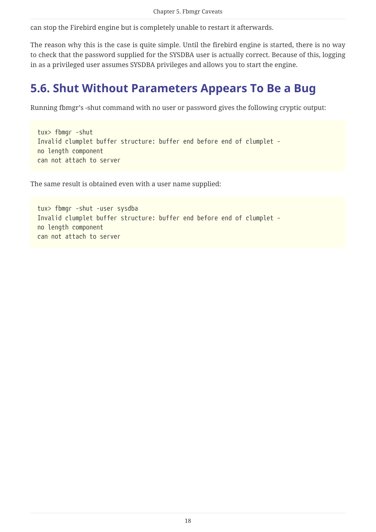can stop the Firebird engine but is completely unable to restart it afterwards.

The reason why this is the case is quite simple. Until the firebird engine is started, there is no way to check that the password supplied for the SYSDBA user is actually correct. Because of this, logging in as a privileged user assumes SYSDBA privileges and allows you to start the engine.

## <span id="page-18-0"></span>**5.6. Shut Without Parameters Appears To Be a Bug**

Running fbmgr's -shut command with no user or password gives the following cryptic output:

```
tux> fbmgr -shut
Invalid clumplet buffer structure: buffer end before end of clumplet -
no length component
can not attach to server
```
The same result is obtained even with a user name supplied:

```
tux> fbmgr -shut -user sysdba
Invalid clumplet buffer structure: buffer end before end of clumplet -
no length component
can not attach to server
```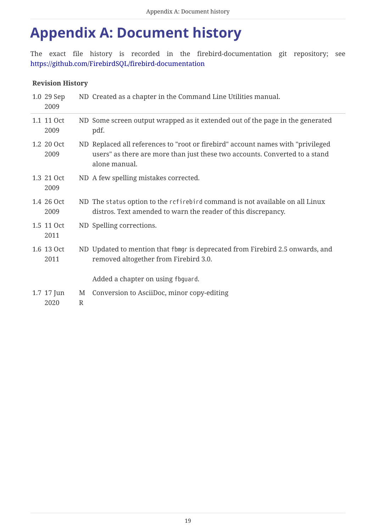# <span id="page-19-0"></span>**Appendix A: Document history**

The exact file history is recorded in the firebird-documentation git repository; see <https://github.com/FirebirdSQL/firebird-documentation>

#### **Revision History**

| 1.0 29 Sep<br>2009   |                   | ND Created as a chapter in the Command Line Utilities manual.                                                                                                                   |
|----------------------|-------------------|---------------------------------------------------------------------------------------------------------------------------------------------------------------------------------|
| 1.1 11 Oct<br>2009   |                   | ND Some screen output wrapped as it extended out of the page in the generated<br>pdf.                                                                                           |
| 1.2 20 Oct<br>2009   |                   | ND Replaced all references to "root or firebird" account names with "privileged<br>users" as there are more than just these two accounts. Converted to a stand<br>alone manual. |
| 1.3 21 Oct<br>2009   |                   | ND A few spelling mistakes corrected.                                                                                                                                           |
| 1.4 26 Oct<br>2009   |                   | ND The status option to the refirebird command is not available on all Linux<br>distros. Text amended to warn the reader of this discrepancy.                                   |
| 1.5 11 Oct<br>2011   |                   | ND Spelling corrections.                                                                                                                                                        |
| 1.6 13 Oct<br>2011   |                   | ND Updated to mention that fbmgr is deprecated from Firebird 2.5 onwards, and<br>removed altogether from Firebird 3.0.                                                          |
|                      |                   | Added a chapter on using fbguard.                                                                                                                                               |
| $1.7$ 17 Jun<br>2020 | M<br>$\mathbb{R}$ | Conversion to AsciiDoc, minor copy-editing                                                                                                                                      |